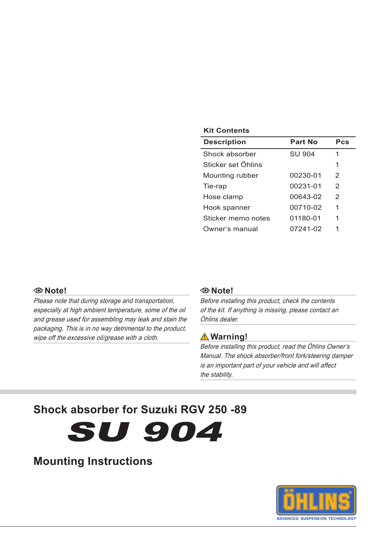| <b>Kit Contents</b> |          |               |
|---------------------|----------|---------------|
| <b>Description</b>  | Part No  | Pcs           |
| Shock absorber      | SU 904   | 1             |
| Sticker set Öhlins  |          | 1             |
| Mounting rubber     | 00230-01 | 2             |
| Tie-rap             | 00231-01 | 2             |
| Hose clamp          | 00643-02 | $\mathcal{P}$ |
| Hook spanner        | 00710-02 | 1             |
| Sticker memo notes  | 01180-01 | 1             |
| Owner's manual      | 07241-02 | 1             |
|                     |          |               |

#### **Note!**

Please note that during storage and transportation, especially at high ambient temperature, some of the oil and grease used for assembling may leak and stain the packaging. This is in no way detrimental to the product, wipe off the excessive oil/grease with a cloth.

#### **Note!**

Before installing this product, check the contents of the kit. If anything is missing, please contact an Öhlins dealer.

#### **Warning!**

Before installing this product, read the Öhlins Owner's Manual. The shock absorber/front fork/steering damper is an important part of your vehicle and will affect the stability.

## **Shock absorber for Suzuki RGV 250 -89**

SU 904

## **Mounting Instructions**

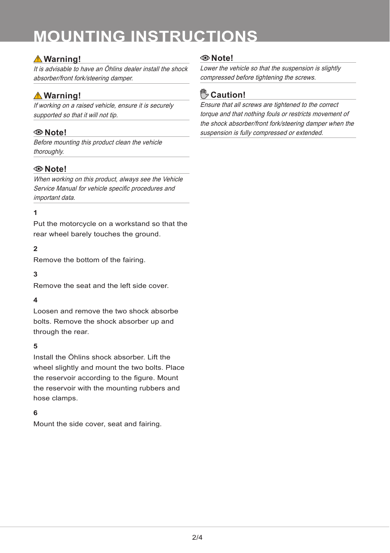# **MOUNTING INSTRUCTIONS**

### **Warning!**

It is advisable to have an Öhlins dealer install the shock absorber/front fork/steering damper.

## **Warning!**

If working on a raised vehicle, ensure it is securely supported so that it will not tip.

### **Note!**

Before mounting this product clean the vehicle thoroughly.

### **Note!**

When working on this product, always see the Vehicle Service Manual for vehicle specific procedures and important data.

#### **1**

Put the motorcycle on a workstand so that the rear wheel barely touches the ground.

#### **2**

Remove the bottom of the fairing.

#### **3**

Remove the seat and the left side cover.

#### **4**

Loosen and remove the two shock absorbe bolts. Remove the shock absorber up and through the rear.

#### **5**

Install the Öhlins shock absorber. Lift the wheel slightly and mount the two bolts. Place the reservoir according to the figure. Mount the reservoir with the mounting rubbers and hose clamps.

#### **6**

Mount the side cover, seat and fairing.

#### **Note!**

Lower the vehicle so that the suspension is slightly compressed before tightening the screws.

## **Caution!**

Ensure that all screws are tightened to the correct torque and that nothing fouls or restricts movement of the shock absorber/front fork/steering damper when the suspension is fully compressed or extended.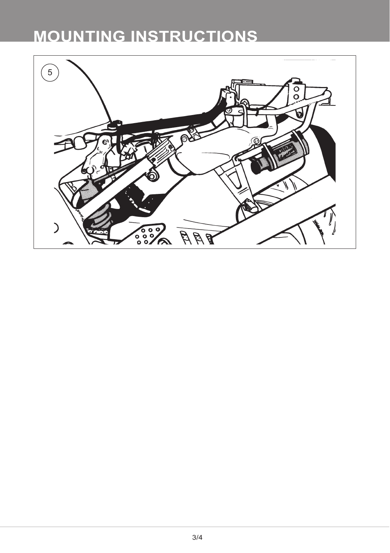# **MOUNTING INSTRUCTIONS**